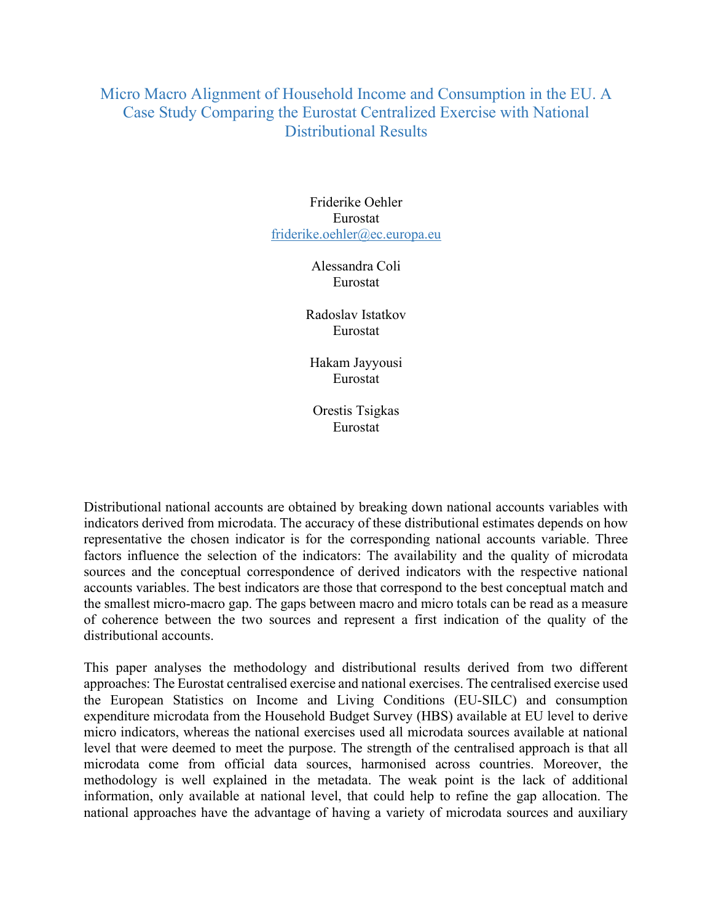## Micro Macro Alignment of Household Income and Consumption in the EU. A Case Study Comparing the Eurostat Centralized Exercise with National Distributional Results

Friderike Oehler Eurostat friderike.oehler@ec.europa.eu

> Alessandra Coli Eurostat

Radoslav Istatkov Eurostat

Hakam Jayyousi Eurostat

Orestis Tsigkas Eurostat

Distributional national accounts are obtained by breaking down national accounts variables with indicators derived from microdata. The accuracy of these distributional estimates depends on how representative the chosen indicator is for the corresponding national accounts variable. Three factors influence the selection of the indicators: The availability and the quality of microdata sources and the conceptual correspondence of derived indicators with the respective national accounts variables. The best indicators are those that correspond to the best conceptual match and the smallest micro-macro gap. The gaps between macro and micro totals can be read as a measure of coherence between the two sources and represent a first indication of the quality of the distributional accounts.

This paper analyses the methodology and distributional results derived from two different approaches: The Eurostat centralised exercise and national exercises. The centralised exercise used the European Statistics on Income and Living Conditions (EU-SILC) and consumption expenditure microdata from the Household Budget Survey (HBS) available at EU level to derive micro indicators, whereas the national exercises used all microdata sources available at national level that were deemed to meet the purpose. The strength of the centralised approach is that all microdata come from official data sources, harmonised across countries. Moreover, the methodology is well explained in the metadata. The weak point is the lack of additional information, only available at national level, that could help to refine the gap allocation. The national approaches have the advantage of having a variety of microdata sources and auxiliary